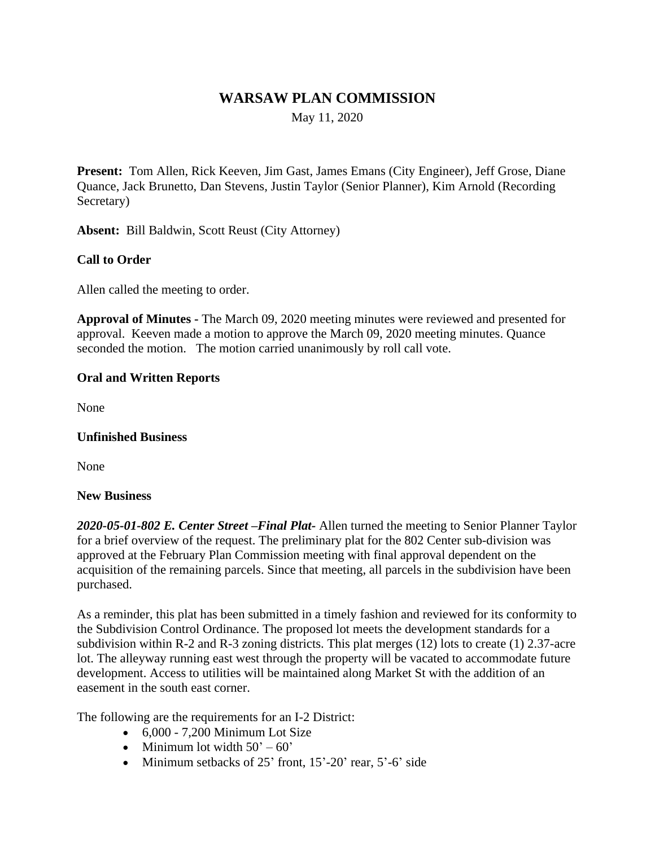# **WARSAW PLAN COMMISSION**

May 11, 2020

**Present:** Tom Allen, Rick Keeven, Jim Gast, James Emans (City Engineer), Jeff Grose, Diane Quance, Jack Brunetto, Dan Stevens, Justin Taylor (Senior Planner), Kim Arnold (Recording Secretary)

**Absent:** Bill Baldwin, Scott Reust (City Attorney)

# **Call to Order**

Allen called the meeting to order.

**Approval of Minutes -** The March 09, 2020 meeting minutes were reviewed and presented for approval. Keeven made a motion to approve the March 09, 2020 meeting minutes. Quance seconded the motion. The motion carried unanimously by roll call vote.

### **Oral and Written Reports**

None

#### **Unfinished Business**

None

#### **New Business**

*2020-05-01-802 E. Center Street –Final Plat-* Allen turned the meeting to Senior Planner Taylor for a brief overview of the request. The preliminary plat for the 802 Center sub-division was approved at the February Plan Commission meeting with final approval dependent on the acquisition of the remaining parcels. Since that meeting, all parcels in the subdivision have been purchased.

As a reminder, this plat has been submitted in a timely fashion and reviewed for its conformity to the Subdivision Control Ordinance. The proposed lot meets the development standards for a subdivision within R-2 and R-3 zoning districts. This plat merges (12) lots to create (1) 2.37-acre lot. The alleyway running east west through the property will be vacated to accommodate future development. Access to utilities will be maintained along Market St with the addition of an easement in the south east corner.

The following are the requirements for an I-2 District:

- $\bullet$  6,000 7,200 Minimum Lot Size
- Minimum lot width  $50^\circ 60^\circ$
- Minimum setbacks of  $25'$  front,  $15'-20'$  rear,  $5'-6'$  side